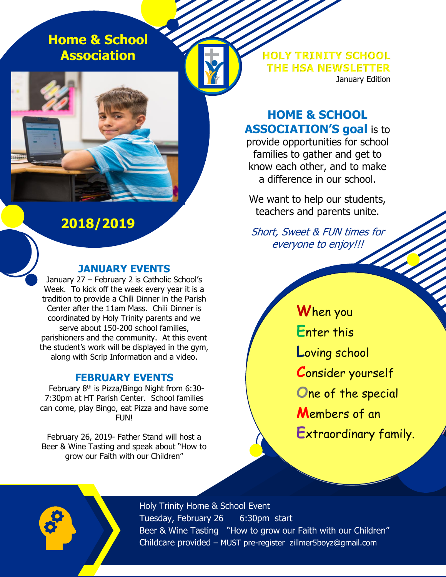**Home & School Association**

**2018/2019**

#### **JANUARY EVENTS**

January 27 – February 2 is Catholic School's Week. To kick off the week every year it is a tradition to provide a Chili Dinner in the Parish Center after the 11am Mass. Chili Dinner is coordinated by Holy Trinity parents and we serve about 150-200 school families, parishioners and the community. At this event the student's work will be displayed in the gym, along with Scrip Information and a video.

#### **FEBRUARY EVENTS**

February 8<sup>th</sup> is Pizza/Bingo Night from 6:30-7:30pm at HT Parish Center. School families can come, play Bingo, eat Pizza and have some FUN!

February 26, 2019- Father Stand will host a Beer & Wine Tasting and speak about "How to grow our Faith with our Children"

**HOLY TRINITY SCHOOL THE HSA NEWSLETTER** January Edition

# **HOME & SCHOOL ASSOCIATION'S goal** is to

provide opportunities for school families to gather and get to know each other, and to make a difference in our school.

We want to help our students, teachers and parents unite.

Short, Sweet & FUN times for everyone to enjoy!!!

a de la desemble **W**hen you **E**nter this **L**oving school **C**onsider yourself **O**ne of the special **M**embers of an **E**xtraordinary family.



Holy Trinity Home & School Event Tuesday, February 26 6:30pm start Beer & Wine Tasting "How to grow our Faith with our Children" Childcare provided – MUST pre-register zillmer5boyz@gmail.com